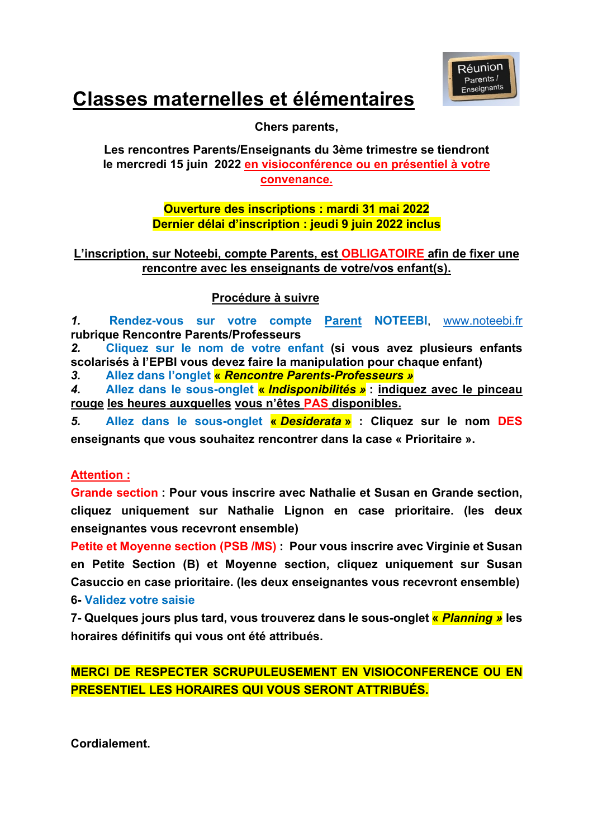

# **Classes maternelles et élémentaires**

**Chers parents,**

**Les rencontres Parents/Enseignants du 3ème trimestre se tiendront le mercredi 15 juin 2022 en visioconférence ou en présentiel à votre convenance.**

### **Ouverture des inscriptions : mardi 31 mai 2022 Dernier délai d'inscription : jeudi 9 juin 2022 inclus**

### **L'inscription, sur Noteebi, compte Parents, est OBLIGATOIRE afin de fixer une rencontre avec les enseignants de votre/vos enfant(s).**

### **Procédure à suivre**

*1.* **Rendez-vous sur votre compte Parent NOTEEBI**, www.noteebi.fr **rubrique Rencontre Parents/Professeurs**

*2.* **Cliquez sur le nom de votre enfant (si vous avez plusieurs enfants scolarisés à l'EPBI vous devez faire la manipulation pour chaque enfant)**

*3.* **Allez dans l'onglet «** *Rencontre Parents-Professeurs »*

*4.* **Allez dans le sous-onglet «** *Indisponibilités »* **: indiquez avec le pinceau rouge les heures auxquelles vous n'êtes PAS disponibles.** 

*5.* **Allez dans le sous-onglet «** *Desiderata* **» : Cliquez sur le nom DES enseignants que vous souhaitez rencontrer dans la case « Prioritaire ».**

### **Attention :**

**Grande section : Pour vous inscrire avec Nathalie et Susan en Grande section, cliquez uniquement sur Nathalie Lignon en case prioritaire. (les deux enseignantes vous recevront ensemble)**

**Petite et Moyenne section (PSB /MS) : Pour vous inscrire avec Virginie et Susan en Petite Section (B) et Moyenne section, cliquez uniquement sur Susan Casuccio en case prioritaire. (les deux enseignantes vous recevront ensemble) 6- Validez votre saisie** 

**7- Quelques jours plus tard, vous trouverez dans le sous-onglet «** *Planning »* **les horaires définitifs qui vous ont été attribués.**

**MERCI DE RESPECTER SCRUPULEUSEMENT EN VISIOCONFERENCE OU EN PRESENTIEL LES HORAIRES QUI VOUS SERONT ATTRIBUÉS.**

**Cordialement.**